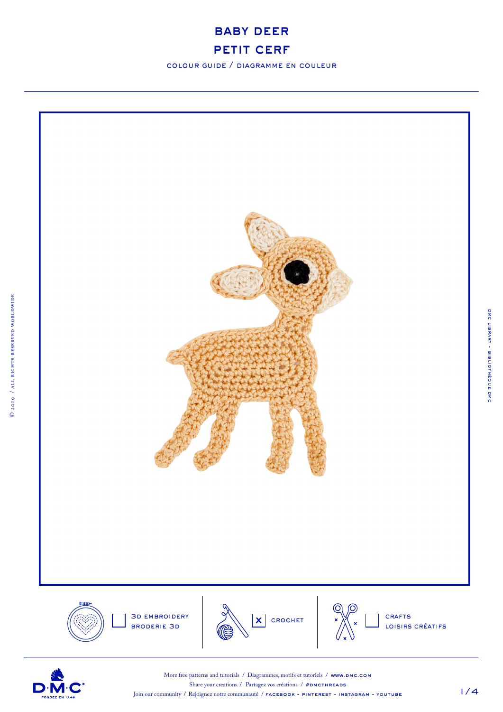

colour guide / diagramme en couleur



D·l



More free patterns and tutorials / Diagrammes, motifs et tutoriels / www.DMC.COM Share your creations / Partagez vos créations /  $#DMCTHREADS$ Join our community / Rejoignez notre communauté / **facebook - pinterest - instagram - youtube** 

1/4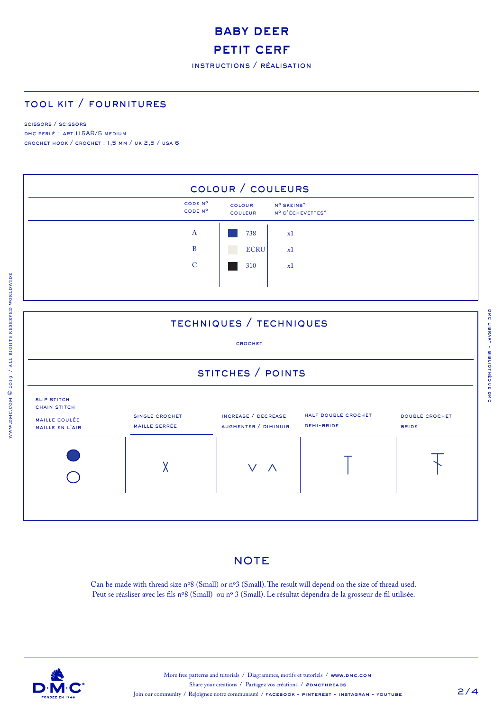# baby deer PETIT CERF

instructions / réalisation

### tool kit / fournitures

#### scissors / scissors

www.dmc.com © 2019 / all rights reserved worldwide

DMC PERLÉ : ART.115AR/5 MEDIUM crochet hook / crochet : 1,5 mm / uk 2,5 / usa 6



### **NOTE**

Can be made with thread size nº8 (Small) or nº3 (Small). The result will depend on the size of thread used. Peut se réasliser avec les fils nº8 (Small) ou nº 3 (Small). Le résultat dépendra de la grosseur de fil utilisée.

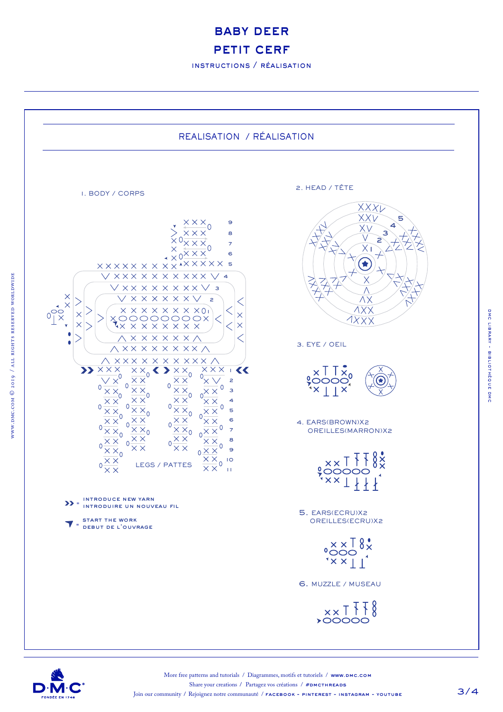baby deer PETIT CERF

instructions / réalisation





dmc library - bibliothèque dmc